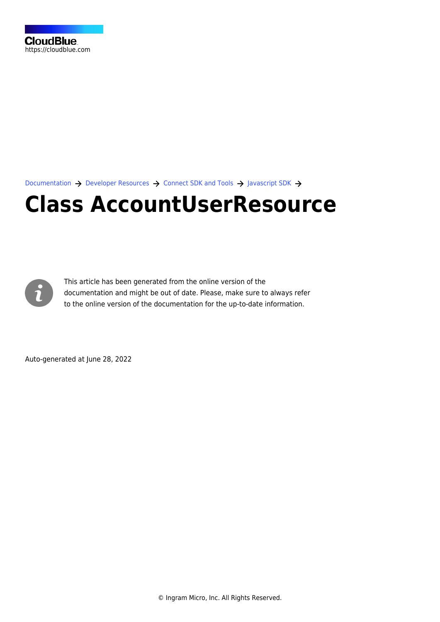[Documentation](https://connect.cloudblue.com/documentation)  $\rightarrow$  [Developer Resources](https://connect.cloudblue.com/community/developers/)  $\rightarrow$  [Connect SDK and Tools](https://connect.cloudblue.com/community/developers/sdk/)  $\rightarrow$  [Javascript SDK](https://connect.cloudblue.com/community/developers/sdk/javascript-sdk/)  $\rightarrow$ 

# **[Class AccountUserResource](https://connect.cloudblue.com/community/developers/sdk/javascript-sdk/class-accountuserresource/)**



This article has been generated from the online version of the documentation and might be out of date. Please, make sure to always refer to the online version of the documentation for the up-to-date information.

Auto-generated at June 28, 2022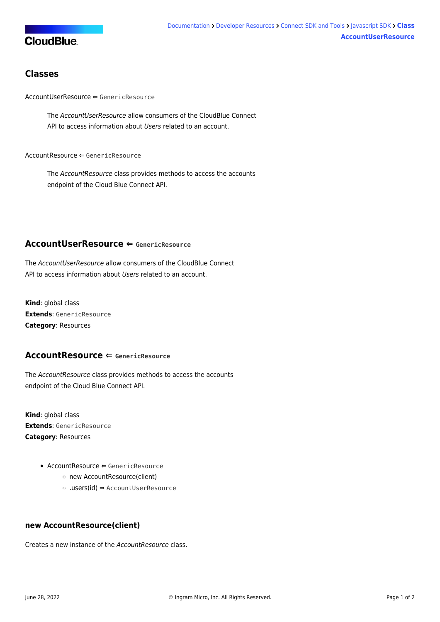## **CloudBlue**

### **Classes**

[AccountUserResource](#page-1-0) ⇐ GenericResource

The AccountUserResource allow consumers of the CloudBlue Connect API to access information about Users related to an account.

 $AccountResource \Leftarrow GenericResource$  $AccountResource \Leftarrow GenericResource$ 

The AccountResource class provides methods to access the accounts endpoint of the Cloud Blue Connect API.

#### <span id="page-1-0"></span>**AccountUserResource ⇐ GenericResource**

The AccountUserResource allow consumers of the CloudBlue Connect API to access information about Users related to an account.

**Kind**: global class **Extends**: GenericResource **Category**: Resources

#### <span id="page-1-1"></span>**AccountResource ⇐ GenericResource**

The AccountResource class provides methods to access the accounts endpoint of the Cloud Blue Connect API.

**Kind**: global class **Extends**: GenericResource **Category**: Resources

- $\bullet$  [AccountResource](#page-1-1)  $\Leftarrow$  GenericResource
	- [new AccountResource\(client\)](#page-1-2)
	- [.users\(id\)](#page-2-0) ⇒ [AccountUserResource](#page-1-0)

#### <span id="page-1-2"></span>**new AccountResource(client)**

Creates a new instance of the AccountResource class.